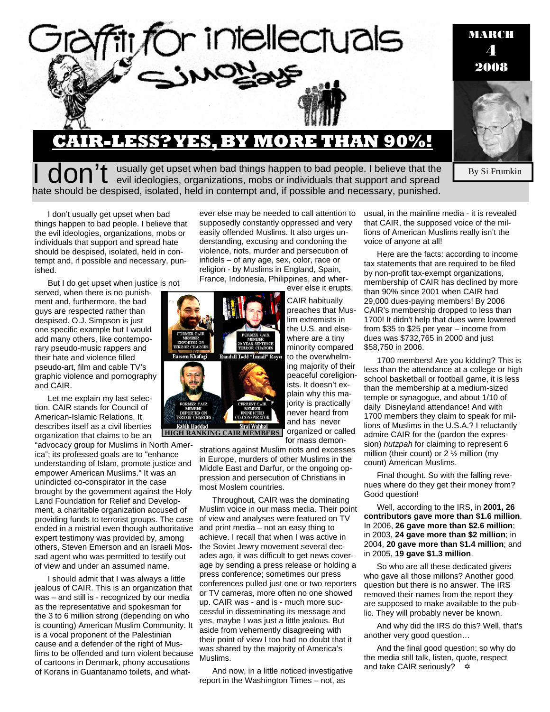

usually get upset when bad things happen to bad people. I believe that the **L** evil ideologies, organizations, mobs or individuals that support and spread hate should be despised, isolated, held in contempt and, if possible and necessary, punished.

I don't usually get upset when bad things happen to bad people. I believe that the evil ideologies, organizations, mobs or individuals that support and spread hate should be despised, isolated, held in contempt and, if possible and necessary, punished.

But I do get upset when justice is not

served, when there is no punishment and, furthermore, the bad guys are respected rather than despised. O.J. Simpson is just one specific example but I would add many others, like contemporary pseudo-music rappers and their hate and violence filled pseudo-art, film and cable TV's graphic violence and pornography and CAIR.

Let me explain my last selection. CAIR stands for Council of American-Islamic Relations. It describes itself as a civil liberties organization that claims to be an

"advocacy group for Muslims in North America"; its professed goals are to "enhance understanding of Islam, promote justice and empower American Muslims." It was an unindicted co-conspirator in the case brought by the government against the Holy Land Foundation for Relief and Development, a charitable organization accused of providing funds to terrorist groups. The case ended in a mistrial even though authoritative expert testimony was provided by, among others, Steven Emerson and an Israeli Mossad agent who was permitted to testify out of view and under an assumed name.

I should admit that I was always a little jealous of CAIR. This is an organization that was – and still is - recognized by our media as the representative and spokesman for the 3 to 6 million strong (depending on who is counting) American Muslim Community. It is a vocal proponent of the Palestinian cause and a defender of the right of Muslims to be offended and turn violent because of cartoons in Denmark, phony accusations of Korans in Guantanamo toilets, and what-

ever else may be needed to call attention to supposedly constantly oppressed and very easily offended Muslims. It also urges understanding, excusing and condoning the violence, riots, murder and persecution of infidels – of any age, sex, color, race or religion - by Muslims in England, Spain, France, Indonesia, Philippines, and wher-

ever else it erupts.



strations against Muslim riots and excesses in Europe, murders of other Muslims in the Middle East and Darfur, or the ongoing oppression and persecution of Christians in most Moslem countries.

Throughout, CAIR was the dominating Muslim voice in our mass media. Their point of view and analyses were featured on TV and print media – not an easy thing to achieve. I recall that when I was active in the Soviet Jewry movement several decades ago, it was difficult to get news coverage by sending a press release or holding a press conference; sometimes our press conferences pulled just one or two reporters or TV cameras, more often no one showed up. CAIR was - and is - much more successful in disseminating its message and yes, maybe I was just a little jealous. But aside from vehemently disagreeing with their point of view I too had no doubt that it was shared by the majority of America's Muslims.

And now, in a little noticed investigative report in the Washington Times – not, as

usual, in the mainline media - it is revealed that CAIR, the supposed voice of the millions of American Muslims really isn't the voice of anyone at all!

By Si Frumkin

Here are the facts: according to income tax statements that are required to be filed by non-profit tax-exempt organizations, membership of CAIR has declined by more than 90% since 2001 when CAIR had 29,000 dues-paying members! By 2006 CAIR's membership dropped to less than 1700! It didn't help that dues were lowered from \$35 to \$25 per year – income from dues was \$732,765 in 2000 and just \$58,750 in 2006.

1700 members! Are you kidding? This is less than the attendance at a college or high school basketball or football game, it is less than the membership at a medium-sized temple or synagogue, and about 1/10 of daily Disneyland attendance! And with 1700 members they claim to speak for millions of Muslims in the U.S.A.? I reluctantly admire CAIR for the (pardon the expression) *hutzpah* for claiming to represent 6 million (their count) or 2 ½ million (my count) American Muslims.

Final thought. So with the falling revenues where do they get their money from? Good question!

Well, according to the IRS, in **2001, 26 contributors gave more than \$1.6 million**. In 2006, **26 gave more than \$2.6 million**; in 2003, **24 gave more than \$2 million**; in 2004, **20 gave more than \$1.4 million**; and in 2005, **19 gave \$1.3 million**.

So who are all these dedicated givers who gave all those millons? Another good question but there is no answer. The IRS removed their names from the report they are supposed to make available to the public. They will probably never be known.

And why did the IRS do this? Well, that's another very good question…

And the final good question: so why do the media still talk, listen, quote, respect and take CAIR seriously?  $\phi$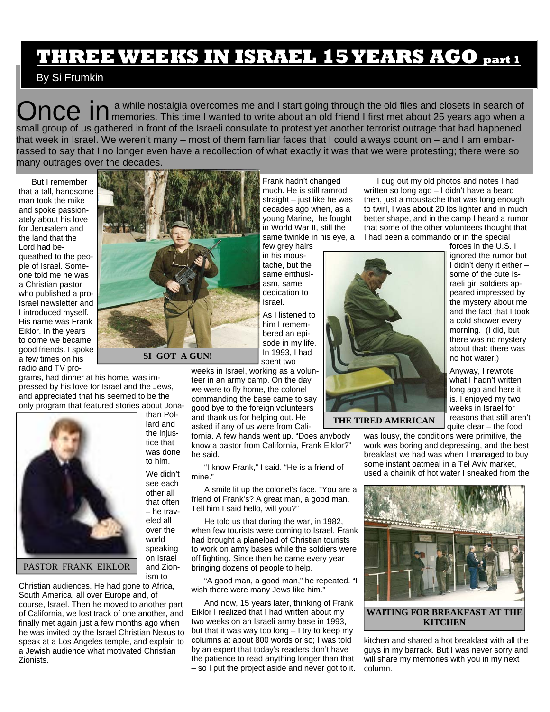## **THREE WEEKS IN ISRAEL 15 YEARS AGO part 1**

#### By Si Frumkin

Once in a while nostalgia overcomes me and I start going through the old files and closets in search of  $\Box$  memories. This time I wanted to write about an old friend I first met about 25 years ago when a small group of us gathered in front of the Israeli consulate to protest yet another terrorist outrage that had happened that week in Israel. We weren't many – most of them familiar faces that I could always count on – and I am embarrassed to say that I no longer even have a recollection of what exactly it was that we were protesting; there were so many outrages over the decades.

But I remember that a tall, handsome man took the mike and spoke passionately about his love for Jerusalem and the land that the Lord had bequeathed to the people of Israel. Someone told me he was a Christian pastor who published a pro-Israel newsletter and I introduced myself. His name was Frank Eiklor. In the years to come we became good friends. I spoke a few times on his radio and TV pro-





PASTOR FRANK EIKLOR

Christian audiences. He had gone to Africa, South America, all over Europe and, of course, Israel. Then he moved to another part of California, we lost track of one another, and finally met again just a few months ago when he was invited by the Israel Christian Nexus to speak at a Los Angeles temple, and explain to a Jewish audience what motivated Christian Zionists.



than Pollard and the injustice that was done to him. We didn't see each other all that often – he traveled all over the world speaking on Israel and Zionism to

Frank hadn't changed much. He is still ramrod straight – just like he was decades ago when, as a young Marine, he fought in World War II, still the same twinkle in his eye, a

few grey hairs in his moustache, but the same enthusiasm, same dedication to Israel.

As I listened to him I remembered an episode in my life. In 1993, I had spent two

weeks in Israel, working as a volunteer in an army camp. On the day we were to fly home, the colonel commanding the base came to say good bye to the foreign volunteers and thank us for helping out. He asked if any of us were from Cali-

fornia. A few hands went up. "Does anybody know a pastor from California, Frank Eiklor?" he said.

"I know Frank," I said. "He is a friend of mine."

A smile lit up the colonel's face. "You are a friend of Frank's? A great man, a good man. Tell him I said hello, will you?"

He told us that during the war, in 1982, when few tourists were coming to Israel, Frank had brought a planeload of Christian tourists to work on army bases while the soldiers were off fighting. Since then he came every year bringing dozens of people to help.

"A good man, a good man," he repeated. "I wish there were many Jews like him."

And now, 15 years later, thinking of Frank Eiklor I realized that I had written about my two weeks on an Israeli army base in 1993, but that it was way too long  $-1$  try to keep my columns at about 800 words or so; I was told by an expert that today's readers don't have the patience to read anything longer than that – so I put the project aside and never got to it.

I dug out my old photos and notes I had written so long ago – I didn't have a beard then, just a moustache that was long enough to twirl, I was about 20 lbs lighter and in much better shape, and in the camp I heard a rumor that some of the other volunteers thought that I had been a commando or in the special



**THE TIRED AMERICAN** 

quite clear – the food was lousy, the conditions were primitive, the work was boring and depressing, and the best breakfast we had was when I managed to buy some instant oatmeal in a Tel Aviv market, used a chainik of hot water I sneaked from the

what I hadn't written



**WAITING FOR BREAKFAST AT THE KITCHEN** 

kitchen and shared a hot breakfast with all the guys in my barrack. But I was never sorry and will share my memories with you in my next column.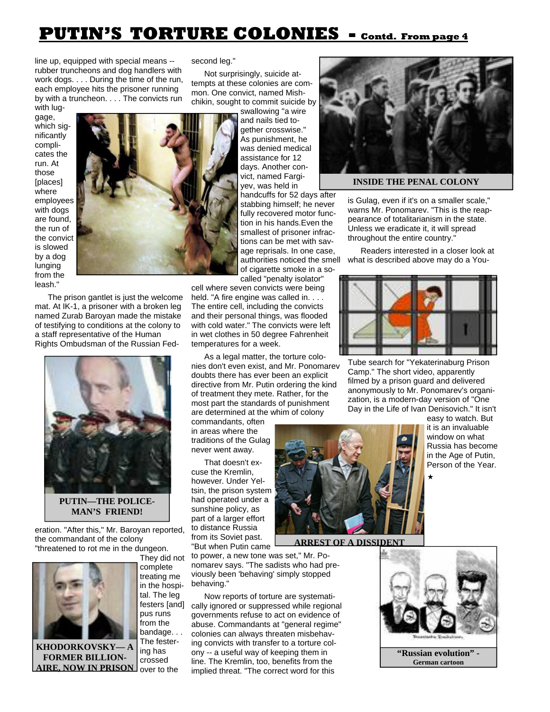### **PUTIN'S TORTURE COLONIES - Contd. From page 4**

line up, equipped with special means - rubber truncheons and dog handlers with work dogs. . . . During the time of the run, each employee hits the prisoner running by with a truncheon. . . . The convicts run

with luggage, which significantly complicates the run. At those [places] where employees with dogs are found, the run of the convict is slowed by a dog lunging from the leash."



The prison gantlet is just the welcome mat. At IK-1, a prisoner with a broken leg named Zurab Baroyan made the mistake of testifying to conditions at the colony to a staff representative of the Human Rights Ombudsman of the Russian Fed-



**PUTIN—THE POLICE-MAN'S FRIEND!** 

eration. "After this," Mr. Baroyan reported, the commandant of the colony "threatened to rot me in the dungeon.



in the hospital. The leg festers [and] pus runs from the bandage. . . The festering has crossed **AIRE, NOW IN PRISON** over to the **KHODORKOVSKY— A FORMER BILLION-**

They did not complete treating me

second leg."

Not surprisingly, suicide attempts at these colonies are common. One convict, named Mishchikin, sought to commit suicide by

swallowing "a wire and nails tied together crosswise." As punishment, he was denied medical assistance for 12 days. Another convict, named Fargiyev, was held in

handcuffs for 52 days after stabbing himself; he never fully recovered motor function in his hands.Even the smallest of prisoner infractions can be met with savage reprisals. In one case, authorities noticed the smell of cigarette smoke in a socalled "penalty isolator"

cell where seven convicts were being held. "A fire engine was called in. . . . The entire cell, including the convicts and their personal things, was flooded with cold water." The convicts were left in wet clothes in 50 degree Fahrenheit temperatures for a week.

As a legal matter, the torture colonies don't even exist, and Mr. Ponomarev doubts there has ever been an explicit directive from Mr. Putin ordering the kind of treatment they mete. Rather, for the most part the standards of punishment are determined at the whim of colony

commandants, often in areas where the traditions of the Gulag never went away.

That doesn't excuse the Kremlin, however. Under Yeltsin, the prison system had operated under a sunshine policy, as part of a larger effort to distance Russia from its Soviet past. "But when Putin came



**ARREST OF A DISSIDENT** 

to power, a new tone was set," Mr. Ponomarev says. "The sadists who had previously been 'behaving' simply stopped behaving."

Now reports of torture are systematically ignored or suppressed while regional governments refuse to act on evidence of abuse. Commandants at "general regime" colonies can always threaten misbehaving convicts with transfer to a torture colony -- a useful way of keeping them in line. The Kremlin, too, benefits from the implied threat. "The correct word for this



#### **INSIDE THE PENAL COLONY**

is Gulag, even if it's on a smaller scale," warns Mr. Ponomarev. "This is the reappearance of totalitarianism in the state. Unless we eradicate it, it will spread throughout the entire country."

Readers interested in a closer look at what is described above may do a You-



Tube search for "Yekaterinaburg Prison Camp." The short video, apparently filmed by a prison guard and delivered anonymously to Mr. Ponomarev's organization, is a modern-day version of "One Day in the Life of Ivan Denisovich." It isn't

easy to watch. But it is an invaluable window on what Russia has become in the Age of Putin, Person of the Year.  $\star$